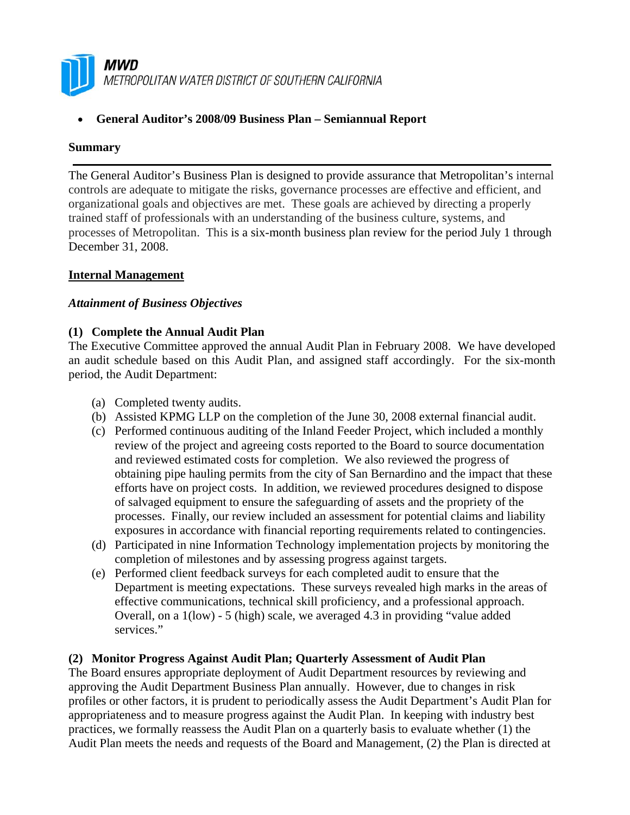

• **General Auditor's 2008/09 Business Plan – Semiannual Report** 

#### **Summary**

The General Auditor's Business Plan is designed to provide assurance that Metropolitan's internal controls are adequate to mitigate the risks, governance processes are effective and efficient, and organizational goals and objectives are met. These goals are achieved by directing a properly trained staff of professionals with an understanding of the business culture, systems, and processes of Metropolitan. This is a six-month business plan review for the period July 1 through December 31, 2008.

## **Internal Management**

#### *Attainment of Business Objectives*

#### **(1) Complete the Annual Audit Plan**

The Executive Committee approved the annual Audit Plan in February 2008. We have developed an audit schedule based on this Audit Plan, and assigned staff accordingly. For the six-month period, the Audit Department:

- (a) Completed twenty audits.
- (b) Assisted KPMG LLP on the completion of the June 30, 2008 external financial audit.
- (c) Performed continuous auditing of the Inland Feeder Project, which included a monthly review of the project and agreeing costs reported to the Board to source documentation and reviewed estimated costs for completion. We also reviewed the progress of obtaining pipe hauling permits from the city of San Bernardino and the impact that these efforts have on project costs. In addition, we reviewed procedures designed to dispose of salvaged equipment to ensure the safeguarding of assets and the propriety of the processes. Finally, our review included an assessment for potential claims and liability exposures in accordance with financial reporting requirements related to contingencies.
- (d) Participated in nine Information Technology implementation projects by monitoring the completion of milestones and by assessing progress against targets.
- (e) Performed client feedback surveys for each completed audit to ensure that the Department is meeting expectations. These surveys revealed high marks in the areas of effective communications, technical skill proficiency, and a professional approach. Overall, on a 1(low) - 5 (high) scale, we averaged 4.3 in providing "value added services."

#### **(2) Monitor Progress Against Audit Plan; Quarterly Assessment of Audit Plan**

The Board ensures appropriate deployment of Audit Department resources by reviewing and approving the Audit Department Business Plan annually. However, due to changes in risk profiles or other factors, it is prudent to periodically assess the Audit Department's Audit Plan for appropriateness and to measure progress against the Audit Plan. In keeping with industry best practices, we formally reassess the Audit Plan on a quarterly basis to evaluate whether (1) the Audit Plan meets the needs and requests of the Board and Management, (2) the Plan is directed at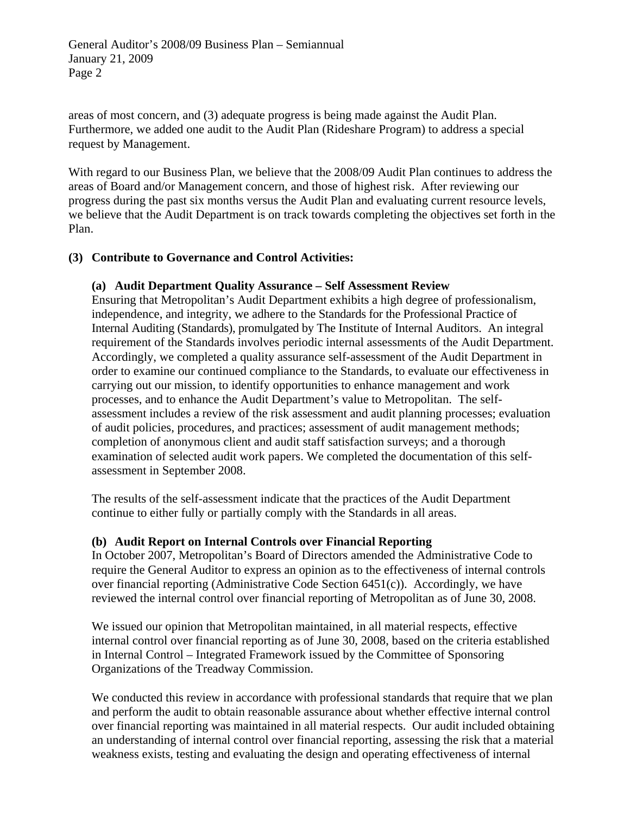areas of most concern, and (3) adequate progress is being made against the Audit Plan. Furthermore, we added one audit to the Audit Plan (Rideshare Program) to address a special request by Management.

With regard to our Business Plan, we believe that the 2008/09 Audit Plan continues to address the areas of Board and/or Management concern, and those of highest risk. After reviewing our progress during the past six months versus the Audit Plan and evaluating current resource levels, we believe that the Audit Department is on track towards completing the objectives set forth in the Plan.

# **(3) Contribute to Governance and Control Activities:**

## **(a) Audit Department Quality Assurance – Self Assessment Review**

Ensuring that Metropolitan's Audit Department exhibits a high degree of professionalism, independence, and integrity, we adhere to the Standards for the Professional Practice of Internal Auditing (Standards), promulgated by The Institute of Internal Auditors. An integral requirement of the Standards involves periodic internal assessments of the Audit Department. Accordingly, we completed a quality assurance self-assessment of the Audit Department in order to examine our continued compliance to the Standards, to evaluate our effectiveness in carrying out our mission, to identify opportunities to enhance management and work processes, and to enhance the Audit Department's value to Metropolitan. The selfassessment includes a review of the risk assessment and audit planning processes; evaluation of audit policies, procedures, and practices; assessment of audit management methods; completion of anonymous client and audit staff satisfaction surveys; and a thorough examination of selected audit work papers. We completed the documentation of this selfassessment in September 2008.

The results of the self-assessment indicate that the practices of the Audit Department continue to either fully or partially comply with the Standards in all areas.

## **(b) Audit Report on Internal Controls over Financial Reporting**

In October 2007, Metropolitan's Board of Directors amended the Administrative Code to require the General Auditor to express an opinion as to the effectiveness of internal controls over financial reporting (Administrative Code Section 6451(c)). Accordingly, we have reviewed the internal control over financial reporting of Metropolitan as of June 30, 2008.

We issued our opinion that Metropolitan maintained, in all material respects, effective internal control over financial reporting as of June 30, 2008, based on the criteria established in Internal Control – Integrated Framework issued by the Committee of Sponsoring Organizations of the Treadway Commission.

We conducted this review in accordance with professional standards that require that we plan and perform the audit to obtain reasonable assurance about whether effective internal control over financial reporting was maintained in all material respects. Our audit included obtaining an understanding of internal control over financial reporting, assessing the risk that a material weakness exists, testing and evaluating the design and operating effectiveness of internal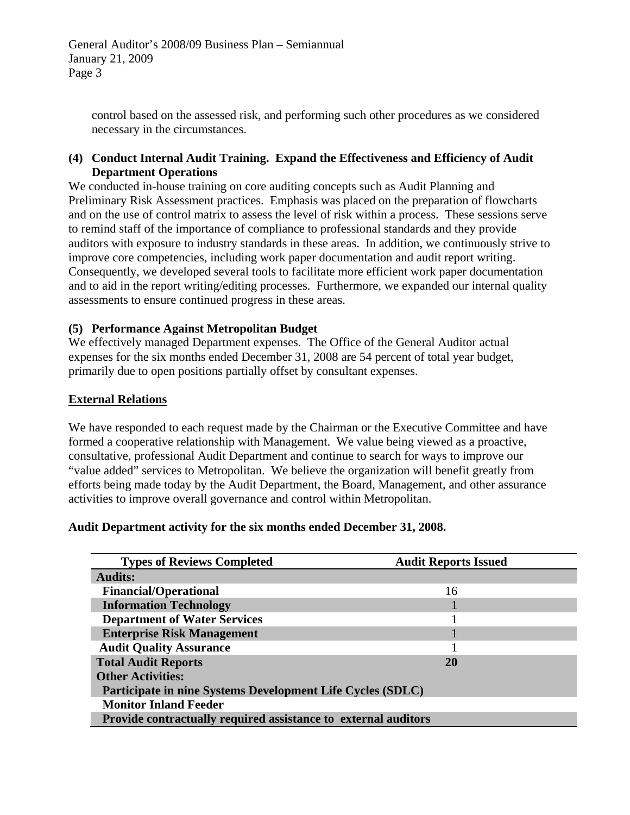control based on the assessed risk, and performing such other procedures as we considered necessary in the circumstances.

#### **(4) Conduct Internal Audit Training. Expand the Effectiveness and Efficiency of Audit Department Operations**

We conducted in-house training on core auditing concepts such as Audit Planning and Preliminary Risk Assessment practices. Emphasis was placed on the preparation of flowcharts and on the use of control matrix to assess the level of risk within a process. These sessions serve to remind staff of the importance of compliance to professional standards and they provide auditors with exposure to industry standards in these areas. In addition, we continuously strive to improve core competencies, including work paper documentation and audit report writing. Consequently, we developed several tools to facilitate more efficient work paper documentation and to aid in the report writing/editing processes. Furthermore, we expanded our internal quality assessments to ensure continued progress in these areas.

## **(5) Performance Against Metropolitan Budget**

We effectively managed Department expenses. The Office of the General Auditor actual expenses for the six months ended December 31, 2008 are 54 percent of total year budget, primarily due to open positions partially offset by consultant expenses.

## **External Relations**

We have responded to each request made by the Chairman or the Executive Committee and have formed a cooperative relationship with Management. We value being viewed as a proactive, consultative, professional Audit Department and continue to search for ways to improve our "value added" services to Metropolitan. We believe the organization will benefit greatly from efforts being made today by the Audit Department, the Board, Management, and other assurance activities to improve overall governance and control within Metropolitan.

## **Audit Department activity for the six months ended December 31, 2008.**

| <b>Types of Reviews Completed</b>                              | <b>Audit Reports Issued</b> |  |  |  |
|----------------------------------------------------------------|-----------------------------|--|--|--|
| <b>Audits:</b>                                                 |                             |  |  |  |
| <b>Financial/Operational</b>                                   | 16                          |  |  |  |
| <b>Information Technology</b>                                  |                             |  |  |  |
| <b>Department of Water Services</b>                            |                             |  |  |  |
| <b>Enterprise Risk Management</b>                              |                             |  |  |  |
| <b>Audit Quality Assurance</b>                                 |                             |  |  |  |
| <b>Total Audit Reports</b>                                     | <b>20</b>                   |  |  |  |
| <b>Other Activities:</b>                                       |                             |  |  |  |
| Participate in nine Systems Development Life Cycles (SDLC)     |                             |  |  |  |
| <b>Monitor Inland Feeder</b>                                   |                             |  |  |  |
| Provide contractually required assistance to external auditors |                             |  |  |  |